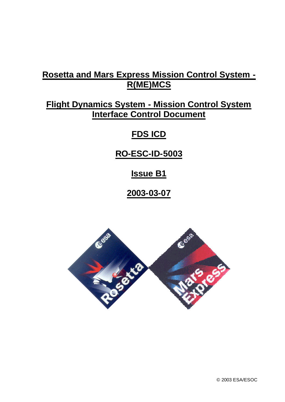# **Rosetta and Mars Express Mission Control System - R(ME)MCS**

# **Flight Dynamics System - Mission Control System Interface Control Document**

# **FDS ICD**

# **RO-ESC-ID-5003**

# **Issue B1**

# **2003-03-07**

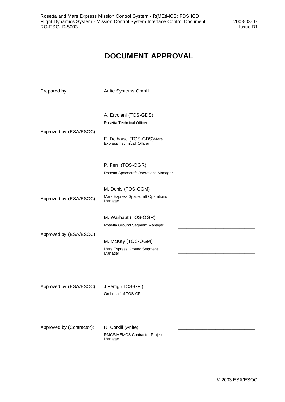# **DOCUMENT APPROVAL**

| Prepared by;              | Anite Systems GmbH                                            |  |
|---------------------------|---------------------------------------------------------------|--|
|                           |                                                               |  |
|                           | A. Ercolani (TOS-GDS)                                         |  |
|                           | Rosetta Technical Officer                                     |  |
| Approved by (ESA/ESOC);   | F. Delhaise (TOS-GDS)Mars<br><b>Express Technical Officer</b> |  |
|                           |                                                               |  |
|                           | P. Ferri (TOS-OGR)                                            |  |
|                           | Rosetta Spacecraft Operations Manager                         |  |
|                           | M. Denis (TOS-OGM)                                            |  |
| Approved by (ESA/ESOC);   | Mars Express Spacecraft Operations<br>Manager                 |  |
|                           |                                                               |  |
|                           | M. Warhaut (TOS-OGR)                                          |  |
|                           | Rosetta Ground Segment Manager                                |  |
| Approved by (ESA/ESOC);   |                                                               |  |
|                           | M. McKay (TOS-OGM)<br>Mars Express Ground Segment             |  |
|                           | Manager                                                       |  |
|                           |                                                               |  |
|                           |                                                               |  |
| Approved by (ESA/ESOC);   | J.Fertig (TOS-GFI)                                            |  |
|                           | On behalf of TOS-GF                                           |  |
|                           |                                                               |  |
|                           |                                                               |  |
| Approved by (Contractor); | R. Corkill (Anite)                                            |  |
|                           | RMCS/MEMCS Contractor Project<br>Manager                      |  |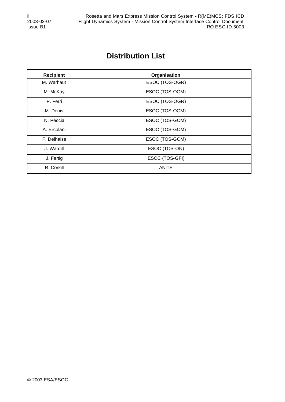# **Distribution List**

| <b>Recipient</b> | Organisation   |
|------------------|----------------|
| M. Warhaut       | ESOC (TOS-OGR) |
| M. McKay         | ESOC (TOS-OGM) |
| P. Ferri         | ESOC (TOS-OGR) |
| M. Denis         | ESOC (TOS-OGM) |
| N. Peccia        | ESOC (TOS-GCM) |
| A. Ercolani      | ESOC (TOS-GCM) |
| F. Delhaise      | ESOC (TOS-GCM) |
| J. Wardill       | ESOC (TOS-ON)  |
| J. Fertig        | ESOC (TOS-GFI) |
| R. Corkill       | <b>ANITE</b>   |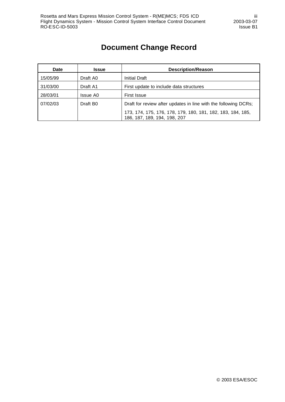# **Document Change Record**

| <b>Date</b> | <b>Issue</b>         | <b>Description/Reason</b>                                                                   |
|-------------|----------------------|---------------------------------------------------------------------------------------------|
| 15/05/99    | Draft A0             | <b>Initial Draft</b>                                                                        |
| 31/03/00    | Draft A1             | First update to include data structures                                                     |
| 28/03/01    | Issue A0             | <b>First Issue</b>                                                                          |
| 07/02/03    | Draft B <sub>0</sub> | Draft for review after updates in line with the following DCRs;                             |
|             |                      | 173, 174, 175, 176, 178, 179, 180, 181, 182, 183, 184, 185,<br>186, 187, 189, 194, 198, 207 |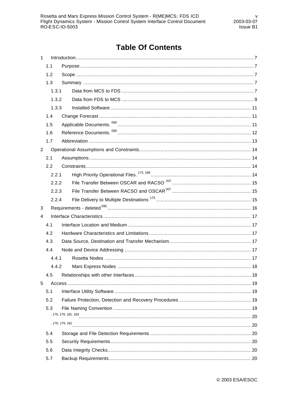# **Table Of Contents**

| 1              |       |                 |  |
|----------------|-------|-----------------|--|
|                | 1.1   |                 |  |
|                | 1.2   |                 |  |
|                | 1.3   |                 |  |
|                | 1.3.1 |                 |  |
|                | 1.3.2 |                 |  |
|                | 1.3.3 |                 |  |
|                | 1.4   |                 |  |
|                | 1.5   |                 |  |
|                | 1.6   |                 |  |
|                | 1.7   |                 |  |
| $\overline{2}$ |       |                 |  |
|                | 2.1   |                 |  |
|                | 2.2   |                 |  |
|                | 2.2.1 |                 |  |
|                | 2.2.2 |                 |  |
|                | 2.2.3 |                 |  |
|                | 2.2.4 |                 |  |
| 3              |       |                 |  |
| 4              |       |                 |  |
|                | 4.1   |                 |  |
|                | 4.2   |                 |  |
|                | 4.3   |                 |  |
|                | 4.4   |                 |  |
|                | 4.4.1 |                 |  |
|                | 4.4.2 |                 |  |
|                | 4.5   |                 |  |
| 5              |       |                 |  |
|                | 5.1   |                 |  |
|                | 5.2   |                 |  |
|                | 5.3   |                 |  |
|                |       |                 |  |
|                |       | , 176, 179, 181 |  |
|                | 5.4   |                 |  |
|                | 5.5   |                 |  |
|                | 5.6   |                 |  |
|                | 5.7   |                 |  |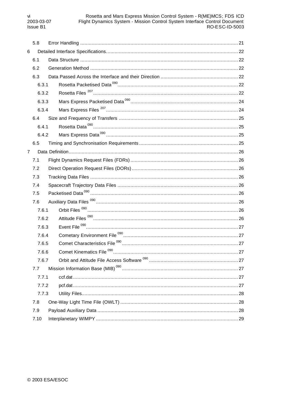|                | 5.8   |                                      |  |
|----------------|-------|--------------------------------------|--|
| 6              |       |                                      |  |
|                | 6.1   |                                      |  |
|                | 6.2   |                                      |  |
|                | 6.3   |                                      |  |
|                | 6.3.1 |                                      |  |
|                | 6.3.2 |                                      |  |
|                | 6.3.3 |                                      |  |
|                | 6.3.4 |                                      |  |
|                | 6.4   |                                      |  |
|                | 6.4.1 |                                      |  |
|                | 6.4.2 |                                      |  |
|                | 6.5   |                                      |  |
| $\overline{7}$ |       |                                      |  |
|                | 7.1   |                                      |  |
|                | 7.2   |                                      |  |
|                | 7.3   |                                      |  |
|                | 7.4   |                                      |  |
|                | 7.5   |                                      |  |
|                | 7.6   |                                      |  |
|                | 7.6.1 |                                      |  |
|                | 7.6.2 |                                      |  |
|                | 7.6.3 |                                      |  |
|                | 7.6.4 |                                      |  |
|                | 7.6.5 |                                      |  |
|                | 7.6.6 | Comet Kinematics File <sup>090</sup> |  |
|                | 7.6.7 |                                      |  |
|                | 7.7   |                                      |  |
|                | 7.7.1 |                                      |  |
|                | 7.7.2 |                                      |  |
|                | 7.7.3 |                                      |  |
|                | 7.8   |                                      |  |
|                | 7.9   |                                      |  |
|                | 7.10  |                                      |  |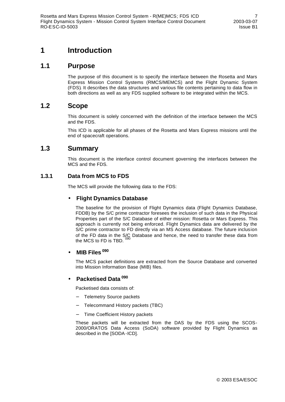## **1 Introduction**

## **1.1 Purpose**

The purpose of this document is to specify the interface between the Rosetta and Mars Express Mission Control Systems (RMCS/MEMCS) and the Flight Dynamic System (FDS). It describes the data structures and various file contents pertaining to data flow in both directions as well as any FDS supplied software to be integrated within the MCS.

## **1.2 Scope**

This document is solely concerned with the definition of the interface between the MCS and the FDS.

This ICD is applicable for all phases of the Rosetta and Mars Express missions until the end of spacecraft operations.

## **1.3 Summary**

This document is the interface control document governing the interfaces between the MCS and the FDS.

### **1.3.1 Data from MCS to FDS**

The MCS will provide the following data to the FDS:

#### • **Flight Dynamics Database**

The baseline for the provision of Flight Dynamics data (Flight Dynamics Database, FDDB) by the S/C prime contractor foresees the inclusion of such data in the Physical Properties part of the S/C Database of either mission: Rosetta or Mars Express. This approach is currently not being enforced. Flight Dynamics data are delivered by the S/C prime contractor to FD directly via an MS Access database. The future inclusion of the FD data in the S/C Database and hence, the need to transfer these data from the MCS to FD is TBD.

### • **MIB Files <sup>090</sup>**

The MCS packet definitions are extracted from the Source Database and converted into Mission Information Base (MIB) files.

### • **Packetised Data <sup>090</sup>**

Packetised data consists of:

- − Telemetry Source packets
- − Telecommand History packets (TBC)
- − Time Coefficient History packets

These packets will be extracted from the DAS by the FDS using the SCOS-2000/ORATOS Data Access (SoDA) software provided by Flight Dynamics as described in the [SODA-ICD].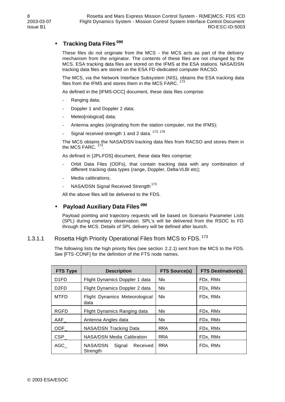## • **Tracking Data Files <sup>090</sup>**

These files do not originate from the MCS - the MCS acts as part of the delivery mechanism from the originator. The contents of these files are not changed by the MCS. ESA tracking data files are stored on the IFMS at the ESA stations. NASA/DSN tracking data files are stored on the ESA FD-dedicated computer RACSO.

The MCS, via the Network Interface Subsystem (NIS), obtains the ESA tracking data files from the IFMS and stores them in the MCS FARC.  $^{173}$ 

As defined in the [IFMS-OCC] document, these data files comprise:

- Ranging data;
- Doppler 1 and Doppler 2 data;
- Meteo[rological] data;
- Antenna angles (originating from the station computer, not the IFMS);
- Signal received strength 1 and 2 data.  $173, 178$

The MCS obtains the NASA/DSN tracking data files from RACSO and stores them in the MCS FARC.  $173$ .

As defined in [JPL-FDS] document, these data files comprise:

- Orbit Data Files (ODFs), that contain tracking data with any combination of different tracking data types (range, Doppler, Delta-VLBI etc);
- Media calibrations.
- NASA/DSN Signal Received Strength<sup>173</sup>

All the above files will be delivered to the FDS.

#### • **Payload Auxiliary Data Files <sup>090</sup>**

Payload pointing and trajectory requests will be based on Scenario Parameter Lists (SPL) during cometary observation. SPL's will be delivered from the RSOC to FD through the MCS. Details of SPL delivery will be defined after launch.

#### 1.3.1.1 Rosetta High Priority Operational Files from MCS to FDS.<sup>173</sup>

The following lists the high priority files (see section 2.2.1) sent from the MCS to the FDS. See [FTS-CONF] for the definition of the FTS node names.

| <b>FTS Type</b>   | <b>Description</b>                         | <b>FTS Source(s)</b> | <b>FTS Destination(s)</b> |
|-------------------|--------------------------------------------|----------------------|---------------------------|
| D <sub>1</sub> FD | Flight Dynamics Doppler 1 data             | <b>NIX</b>           | FDx, RMx                  |
| D <sub>2</sub> FD | Flight Dynamics Doppler 2 data             | <b>NIX</b>           | FDx, RMx                  |
| <b>MTFD</b>       | Flight Dynamics Meteorological<br>data     | <b>Nlx</b>           | FDx, RMx                  |
| <b>RGFD</b>       | Flight Dynamics Ranging data               | <b>Nlx</b>           | FDx, RMx                  |
| AAF               | Antenna Angles data                        | Nlx.                 | FDx. RMx                  |
| ODF               | NASA/DSN Tracking Data                     | <b>RRA</b>           | FDx, RMx                  |
| <b>CSP</b>        | <b>NASA/DSN Media Calibration</b>          | <b>RRA</b>           | FDx, RMx                  |
| AGC               | NASA/DSN<br>Received<br>Signal<br>Strength | <b>RRA</b>           | FDx, RMx                  |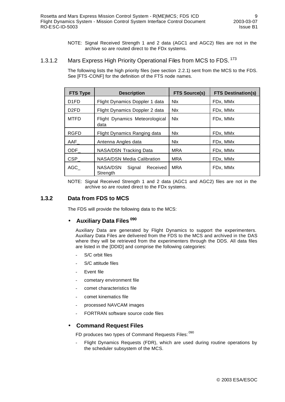NOTE: Signal Received Strength 1 and 2 data (AGC1 and AGC2) files are not in the archive so are routed direct to the FDx systems.

### 1.3.1.2 Mars Express High Priority Operational Files from MCS to FDS.<sup>173</sup>

The following lists the high priority files (see section 2.2.1) sent from the MCS to the FDS. See [FTS-CONF] for the definition of the FTS node names.

| <b>FTS Type</b>   | <b>Description</b>                         | <b>FTS Source(s)</b> | <b>FTS Destination(s)</b> |
|-------------------|--------------------------------------------|----------------------|---------------------------|
| D <sub>1</sub> FD | Flight Dynamics Doppler 1 data             | <b>Nlx</b>           | FDx, MMx                  |
| D <sub>2</sub> FD | Flight Dynamics Doppler 2 data             | <b>Nlx</b>           | FDx, MMx                  |
| <b>MTFD</b>       | Flight Dynamics Meteorological<br>data     | <b>Nlx</b>           | FDx, MMx                  |
| <b>RGFD</b>       | Flight Dynamics Ranging data               | <b>Nlx</b>           | FDx, MMx                  |
| AAF               | Antenna Angles data                        | <b>Nlx</b>           | FDx, MMx                  |
| ODF               | NASA/DSN Tracking Data                     | <b>MRA</b>           | FDx, MMx                  |
| <b>CSP</b>        | <b>NASA/DSN Media Calibration</b>          | <b>MRA</b>           | FDx, MMx                  |
| AGC               | NASA/DSN<br>Signal<br>Received<br>Strength | <b>MRA</b>           | FDx, MMx                  |

NOTE: Signal Received Strength 1 and 2 data (AGC1 and AGC2) files are not in the archive so are routed direct to the FDx systems.

#### **1.3.2 Data from FDS to MCS**

The FDS will provide the following data to the MCS:

### • **Auxiliary Data Files <sup>090</sup>**

Auxiliary Data are generated by Flight Dynamics to support the experimenters. Auxiliary Data Files are delivered from the FDS to the MCS and archived in the DAS where they will be retrieved from the experimenters through the DDS. All data files are listed in the [DDID] and comprise the following categories:

- S/C orbit files
- S/C attitude files
- Event file
- cometary environment file
- comet characteristics file
- comet kinematics file
- processed NAVCAM images
- FORTRAN software source code files

#### • **Command Request Files**

FD produces two types of Command Requests Files: 090

Flight Dynamics Requests (FDR), which are used during routine operations by the scheduler subsystem of the MCS.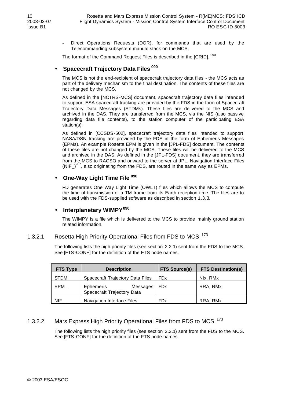Direct Operations Requests (DOR), for commands that are used by the Telecommanding subsystem manual stack on the MCS.

The format of the Command Request Files is described in the [CRID]. <sup>090</sup>

#### • **Spacecraft Trajectory Data Files <sup>090</sup>**

The MCS is not the end-recipient of spacecraft trajectory data files - the MCS acts as part of the delivery mechanism to the final destination. The contents of these files are not changed by the MCS.

As defined in the [NCTRS-MCS] document, spacecraft trajectory data files intended to support ESA spacecraft tracking are provided by the FDS in the form of Spacecraft Trajectory Data Messages (STDMs). These files are delivered to the MCS and archived in the DAS. They are transferred from the MCS, via the NIS (also passive regarding data file contents), to the station computer of the participating ESA station(s).

As defined in [CCSDS-502], spacecraft trajectory data files intended to support NASA/DSN tracking are provided by the FDS in the form of Ephemeris Messages (EPMs). An example Rosetta EPM is given in the [JPL-FDS] document. The contents of these files are not changed by the MCS. These files will be delivered to the MCS and archived in the DAS. As defined in the [JPL-FDS] document, they are transferred from the MCS to RACSO and onward to the server at JPL. Navigation Interface Files  $(NIF<sub>-</sub>)<sup>207</sup>$ , also originating from the FDS, are routed in the same way as EPMs.

#### • **One-Way Light Time File <sup>090</sup>**

FD generates One Way Light Time (OWLT) files which allows the MCS to compute the time of transmission of a TM frame from its Earth reception time. The files are to be used with the FDS-supplied software as described in section 1.3.3.

### • **Interplanetary WIMPY<sup>090</sup>**

The WIMPY is a file which is delivered to the MCS to provide mainly ground station related information.

### 1.3.2.1 Rosetta High Priority Operational Files from FDS to MCS.<sup>173</sup>

The following lists the high priority files (see section 2.2.1) sent from the FDS to the MCS. See [FTS-CONF] for the definition of the FTS node names.

| <b>FTS Type</b> | <b>Description</b>                                  | <b>FTS Source(s)</b>  | <b>FTS Destination(s)</b> |
|-----------------|-----------------------------------------------------|-----------------------|---------------------------|
| <b>STDM</b>     | Spacecraft Trajectory Data Files                    | <b>FD<sub>x</sub></b> | Nlx, RMx                  |
| EPM             | Ephemeris<br>Messages<br>Spacecraft Trajectory Data | <b>FDx</b>            | RRA, RMx                  |
| <b>NIF</b>      | <b>Navigation Interface Files</b>                   | <b>FD<sub>x</sub></b> | RRA, RMx                  |

### 1.3.2.2 Mars Express High Priority Operational Files from FDS to MCS.<sup>173</sup>

The following lists the high priority files (see section 2.2.1) sent from the FDS to the MCS. See [FTS-CONF] for the definition of the FTS node names.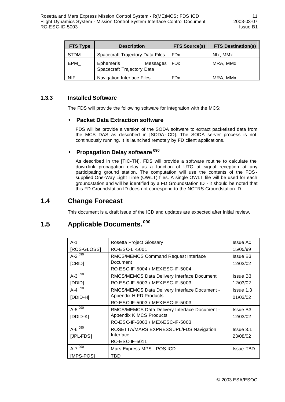| <b>FTS Type</b> | <b>Description</b>                                         | <b>FTS Source(s)</b>  | <b>FTS Destination(s)</b> |
|-----------------|------------------------------------------------------------|-----------------------|---------------------------|
| <b>STDM</b>     | Spacecraft Trajectory Data Files                           | <b>FD<sub>x</sub></b> | Nlx, MMx                  |
| EPM             | <b>Ephemeris</b><br>Messages<br>Spacecraft Trajectory Data | <b>FDx</b>            | MRA, MMx                  |
| <b>NIF</b>      | Navigation Interface Files                                 | <b>FD<sub>x</sub></b> | MRA, MMx                  |

#### **1.3.3 Installed Software**

The FDS will provide the following software for integration with the MCS:

#### • **Packet Data Extraction software**

FDS will be provide a version of the SODA software to extract packetised data from the MCS DAS as described in [SODA -ICD]. The SODA server process is not continuously running. It is launc hed remotely by FD client applications.

### • **Propagation Delay software <sup>090</sup>**

As described in the [TIC-TN], FDS will provide a software routine to calculate the down-link propagation delay as a function of UTC at signal reception at any participating ground station. The computation will use the contents of the FDSsupplied One-Way Light Time (OWLT) files. A single OWLT file will be used for each groundstation and will be identified by a FD Groundstation ID - it should be noted that this FD Groundstation ID does not correspond to the NCTRS Groundstation ID.

## **1.4 Change Forecast**

This document is a draft issue of the ICD and updates are expected after initial review.

# **1.5 Applicable Documents. <sup>090</sup>**

| $A-1$                | Rosetta Project Glossary                      | Issue A0         |
|----------------------|-----------------------------------------------|------------------|
| [ROS-GLOSS]          | RO-ESC-LI-5001                                | 15/05/99         |
| $A-2^{090}$          | RMCS/MEMCS Command Request Interface          | <b>Issue B3</b>  |
| [CRID]               | Document                                      | 12/03/02         |
|                      | RO-ESC-IF-5004 / MEX-ESC-IF-5004              |                  |
| A-3 $^{090}$         | RMCS/MEMCS Data Delivery Interface Document   | <b>Issue B3</b>  |
| [DDID]               | RO-ESC-IF-5003 / MEX-ESC-IF-5003              | 12/03/02         |
| A-4 $^{090}$         | RMCS/MEMCS Data Delivery Interface Document - | Issue 1.3        |
| [DDID-H]             | Appendix H FD Products                        | 01/03/02         |
|                      | RO-ESC-IF-5003 / MEX-ESC-IF-5003              |                  |
| A-5 $^{090}$         | RMCS/MEMCS Data Delivery Interface Document - | <b>Issue B3</b>  |
| $[DDID-K]$           | Appendix K MCS Products                       | 12/03/02         |
|                      | RO-ESC-IF-5003 / MEX-ESC-IF-5003              |                  |
| A- $6^{090}$         | ROSETTA/MARS EXPRESS JPL/FDS Navigation       | Issue 3.1        |
| [JPL-FDS]            | Interface                                     | 23/08/02         |
|                      | <b>RO-ESC-IF-5011</b>                         |                  |
| $A-7$ <sup>090</sup> | Mars Express MPS - POS ICD                    | <b>Issue TBD</b> |
| [MPS-POS]            | TBD                                           |                  |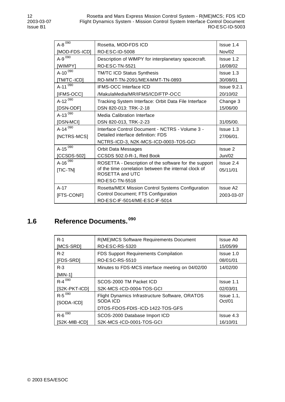| $A - 8^{090}$ | Rosetta, MOD-FDS ICD                                  | Issue 1.4       |
|---------------|-------------------------------------------------------|-----------------|
| [MOD-FDS-ICD] | RO-ESC-ID-5008                                        | Nov/02          |
| $A-9^{090}$   | Description of WIMPY for interplanetary spacecraft.   | Issue 1.2       |
| [WIMPY]       | <b>RO-ESC-TN-5521</b>                                 | 16/08/02        |
| A-10 $^{090}$ | TM/TC ICD Status Synthesis                            | Issue 1.3       |
| [TM/TC-ICD]   | RO-MMT-TN-2091/MEX-MMT-TN-0893                        | 30/08/01        |
| A-11 $^{090}$ | IFMS-OCC Interface ICD                                | Is sue 9.2.1    |
| [IFMS-OCC]    | /MakulaMedia/MR/IFMS/ICD/FTP-OCC                      | 20/10/02        |
| A-12 $^{090}$ | Tracking System Interface: Orbit Data File Interface  | Change 3        |
| [DSN-ODF]     | DSN 820-013: TRK-2-18                                 | 15/06/00        |
| A-13 $^{090}$ | <b>Media Calibration Interface</b>                    |                 |
| [DSN-MCI]     | DSN 820-013, TRK-2-23                                 | 31/05/00.       |
| A-14 $^{090}$ | Interface Control Document - NCTRS - Volume 3 -       | Issue 1.3       |
| [NCTRS-MCS]   | Detailed interface definition: FDS                    | 27/06/01.       |
|               | NCTRS-ICD-3, N2K-MCS-ICD-0003-TOS-GCI                 |                 |
| A-15 $^{090}$ | <b>Orbit Data Messages</b>                            | Issue 2         |
| [CCSDS-502]   | CCSDS 502.0-R-1, Red Book                             | Jun/02          |
| A-16 $^{090}$ | ROSETTA - Description of the software for the support | Issue 2.4       |
| [TIC-TN]      | of the time correlation between the internal clock of | 05/11/01        |
|               | ROSETTA and UTC                                       |                 |
|               | RO-ESC-TN-5518                                        |                 |
| $A-17$        | Rosetta/MEX Mission Control Systems Configuration     | <b>Issue A2</b> |
| [FTS-CONF]    | Control Document; FTS Configuration                   | 2003-03-07      |
|               | RO-ESC-IF-5014/ME-ESC-IF-5014                         |                 |

# **1.6 Reference Documents. <sup>090</sup>**

| $R-1$                | R(ME)MCS Software Requirements Document          | Issue A0    |
|----------------------|--------------------------------------------------|-------------|
| <b>IMCS-SRDI</b>     | RO-ESC-RS-5320                                   | 15/05/99    |
| $R-2$                | FDS Support Requirements Compilation             | Issue 1.0   |
| [FDS-SRD]            | RO-ESC-RS-5510                                   | 08/01/01    |
| $R-3$                | Minutes to FDS-MCS interface meeting on 04/02/00 | 14/02/00    |
| $[MIN-1]$            |                                                  |             |
| $R-4$ <sup>090</sup> | SCOS-2000 TM Packet ICD                          | Issue 1.1   |
| [S2K-PKT-ICD]        | S2K-MCS-ICD-0004-TOS-GCI                         | 02/03/01    |
| $R-5$ <sup>090</sup> | Flight Dynamics Infrastructure Software, ORATOS  | Is sue 1.1, |
| [SODA-ICD]           | SODA ICD                                         | Oct/01      |
|                      | DTOS-FDOS-FDIS-ICD-1422-TOS-GFS                  |             |
| $R-6$ <sup>090</sup> | SCOS-2000 Database Import ICD                    | Issue 4.3   |
| $[S2K-MIB-ICD]$      | S2K-MCS-ICD-0001-TOS-GCI                         | 16/10/01    |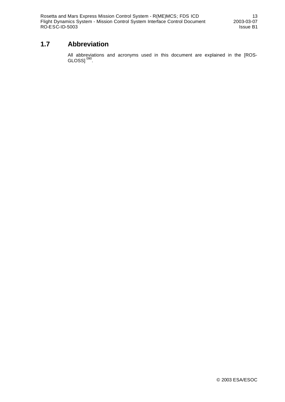Rosetta and Mars Express Mission Control System - R(ME)MCS; FDS ICD 13 Flight Dynamics System - Mission Control System Interface Control Document 2003-03-07 RO-ESC-ID-5003 Issue B1

## **1.7 Abbreviation**

All abbreviations and acronyms used in this document are explained in the [ROS-GLOSS]  $^{090}$ .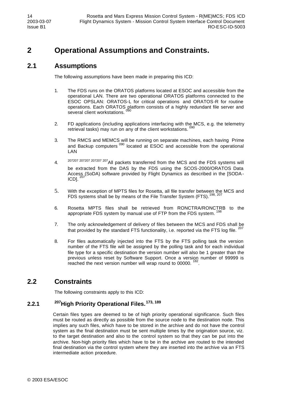# **2 Operational Assumptions and Constraints.**

## **2.1 Assumptions**

The following assumptions have been made in preparing this ICD:

- 1. The FDS runs on the ORATOS platforms located at ESOC and accessible from the operational LAN. There are two operational ORATOS platforms connected to the ESOC OPSLAN: ORATOS-L for critical operations and ORATOS-R for routine operations. Each ORATOS platform consists of a highly redundant file server and several client workstations.
- 2. FD applications (including applications interfacing with the MCS, e.g. the telemetry retrieval tasks) may run on any of the client workstations.
- 3. The RMCS and MEMCS will be running on separate machines, each having Prime and Backup computers <sup>090</sup> located at ESOC and accessible from the operational LAN
- 4. 207207 207207 207207 207All packets transferred from the MCS and the FDS systems will be extracted from the DAS by the FDS using the SCOS-2000/ORATOS Data Access (SoDA) software provided by Flight Dynamics as described in the [SODA- $ICD$ ].  $^{207}$
- 5. With the exception of MPTS files for Rosetta, all file transfer between the MCS and FDS systems shall be by means of the File Transfer System (FTS).<sup>198, 20</sup>
- 6. Rosetta MPTS files shall be retrieved from RONCTRA/RONCTRB to the appropriate FDS system by manual use of FTP from the FDS system.
- 7. The only acknowledgement of delivery of files between the MCS and FDS shall be that provided by the standard FTS functionality, i.e. reported via the FTS log file.  $207$
- 8. For files automatically injected into the FTS by the FTS polling task the version number of the FTS file will be assigned by the polling task and for each individual file type for a specific destination the version number will also be 1 greater than the previous unless reset by Software Support. Once a version number of 99999 is reached the next version number will wrap round to 00000. .

## **2.2 Constraints**

The following constraints apply to this ICD:

## **2.2.1 <sup>207</sup>High Priority Operational Files. 173, 189**

Certain files types are deemed to be of high priority operational significance. Such files must be routed as directly as possible from the source node to the destination node. This implies any such files, which have to be stored in the archive and do not have the control system as the final destination must be sent multiple times by the origination source, viz. to the target destination and also to the control system so that they can be put into the archive. Non-high priority files which have to be in the archive are routed to the intended final destination via the control system where they are inserted into the archive via an FTS intermediate action procedure.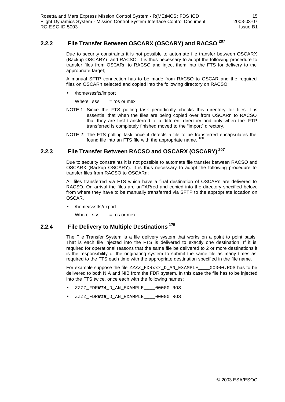## **2.2.2 File Transfer Between OSCARX (OSCARY) and RACSO <sup>207</sup>**

Due to security constraints it is not possible to automate file transfer between OSCARX (Backup OSCARY) and RACSO. It is thus necessary to adopt the following procedure to transfer files from OSCARn to RACSO and inject them into the FTS for delivery to the appropriate target;

A manual SFTP connection has to be made from RACSO to OSCAR and the required files on OSCARn selected and copied into the following directory on RACSO;

• /home/sssfts/import

Where $·$  sss = ros or mex

- NOTE 1: Since the FTS polling task periodically checks this directory for files it is essential that when the files are being copied over from OSCARn to RACSO that they are first transferred to a different directory and only when the FTP transferred is completely finished moved to the "import" directory.
- NOTE 2: The FTS polling task once it detects a file to be transferred encapsulates the found file into an FTS file with the appropriate name.

### **2.2.3 File Transfer Between RACSO and OSCARX (OSCARY)<sup>207</sup>**

Due to security constraints it is not possible to automate file transfer between RACSO and OSCARX (Backup OSCARY). It is thus necessary to adopt the following procedure to transfer files from RACSO to OSCARn;

All files transferred via FTS which have a final destination of OSCARn are delivered to RACSO. On arrival the files are unTARred and copied into the directory specified below, from where they have to be manually transferred via SFTP to the appropriate location on OSCAR.

• /home/sssfts/export

Where  $sss = ros$  or mex

#### **2.2.4 File Delivery to Multiple Destinations<sup>175</sup>**

The File Transfer System is a file delivery system that works on a point to point basis. That is each file injected into the FTS is delivered to exactly one destination. If it is required for operational reasons that the same file be delivered to 2 or more destinations it is the responsibility of the originating system to submit the same file as many times as required to the FTS each time with the appropriate destination specified in the file name.

For example suppose the file ZZZZ\_FDRxxx\_D\_AN\_EXAMPLE\_\_\_\_00000.ROS has to be delivered to both NIA and NIB from the FDR system. In this case the file has to be injected into the FTS twice, once each with the following names;

- ZZZZ\_FDR*NIA*\_D\_AN\_EXAMPLE\_\_\_\_00000.ROS
- ZZZZ\_FDR*NIB*\_D\_AN\_EXAMPLE\_\_\_\_00000.ROS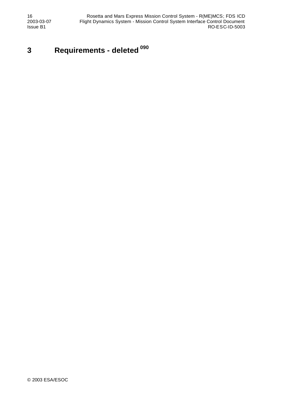# **3 Requirements - deleted <sup>090</sup>**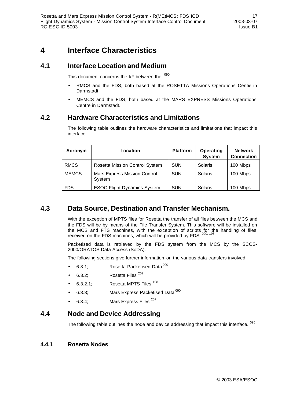## **4 Interface Characteristics**

## **4.1 Interface Location and Medium**

This document concerns the I/F between the: 090

- RMCS and the FDS, both based at the ROSETTA Missions Operations Centre in Darmstadt.
- MEMCS and the FDS, both based at the MARS EXPRESS Missions Operations Centre in Darmstadt.

## **4.2 Hardware Characteristics and Limitations**

The following table outlines the hardware characteristics and limitations that impact this interface.

| Acronym      | Location                                      | <b>Platform</b> | Operating<br><b>System</b> | <b>Network</b><br><b>Connection</b> |
|--------------|-----------------------------------------------|-----------------|----------------------------|-------------------------------------|
| <b>RMCS</b>  | Rosetta Mission Control System                | <b>SUN</b>      | Solaris                    | 100 Mbps                            |
| <b>MEMCS</b> | <b>Mars Express Mission Control</b><br>System | <b>SUN</b>      | Solaris                    | 100 Mbps                            |
| <b>FDS</b>   | <b>ESOC Flight Dynamics System</b>            | <b>SUN</b>      | Solaris                    | 100 Mbps                            |

## **4.3 Data Source, Destination and Transfer Mechanism.**

With the exception of MPTS files for Rosetta the transfer of all files between the MCS and the FDS will be by means of the File Transfer System. This software will be installed on the MCS and FTS machines, with the exception of scripts for the handling of files received on the FDS machines, which will be provided by FDS.  $^{090, 198}$ 

Packetised data is retrieved by the FDS system from the MCS by the SCOS-2000/ORATOS Data Access (SoDA).

The following sections give further information on the various data transfers involved;

- 6.3.1; Rosetta Packetised Data<sup>090</sup>
- 6.3.2; Rosetta Files<sup>207</sup>
- 6.3.2.1; Rosetta MPTS Files<sup>198</sup>
- 6.3.3; Mars Express Packetised Data  $^{090}$
- 6.3.4; Mars Express Files<sup>207</sup>

## **4.4 Node and Device Addressing**

The following table outlines the node and device addressing that impact this interface. <sup>090</sup>

#### **4.4.1 Rosetta Nodes**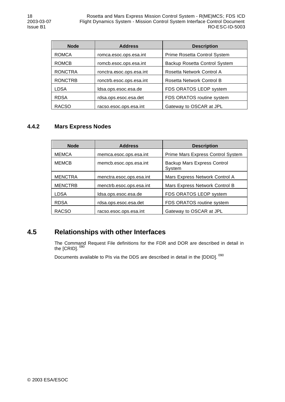| <b>Node</b>    | <b>Address</b>                                          | <b>Description</b>           |  |
|----------------|---------------------------------------------------------|------------------------------|--|
| <b>ROMCA</b>   | romca.esoc.ops.esa.int                                  | Prime Rosetta Control System |  |
| <b>ROMCB</b>   | romcb.esoc.ops.esa.int<br>Backup Rosetta Control System |                              |  |
| <b>RONCTRA</b> | ronctra.esoc.ops.esa.int                                | Rosetta Network Control A    |  |
| <b>RONCTRB</b> | ronctrb.esoc.ops.esa.int                                | Rosetta Network Control B    |  |
| LDSA           | Idsa.ops.esoc.esa.de                                    | FDS ORATOS LEOP system       |  |
| <b>RDSA</b>    | rdsa.ops.esoc.esa.det                                   | FDS ORATOS routine system    |  |
| <b>RACSO</b>   | racso.esoc.ops.esa.int                                  | Gateway to OSCAR at JPL      |  |

## **4.4.2 Mars Express Nodes**

| <b>Node</b>    | <b>Address</b>           | <b>Description</b>                    |
|----------------|--------------------------|---------------------------------------|
| <b>MEMCA</b>   | memca.esoc.ops.esa.int   | Prime Mars Express Control System     |
| <b>MEMCB</b>   | memcb.esoc.ops.esa.int   | Backup Mars Express Control<br>System |
| <b>MENCTRA</b> | menctra.esoc.ops.esa.int | Mars Express Network Control A        |
| <b>MENCTRB</b> | menctrb.esoc.ops.esa.int | Mars Express Network Control B        |
| <b>LDSA</b>    | Idsa.ops.esoc.esa.de     | FDS ORATOS LEOP system                |
| <b>RDSA</b>    | rdsa.ops.esoc.esa.det    | FDS ORATOS routine system             |
| <b>RACSO</b>   | racso.esoc.ops.esa.int   | Gateway to OSCAR at JPL               |

## **4.5 Relationships with other Interfaces**

The Command Request File definitions for the FDR and DOR are described in detail in the [CRID]. <sup>090</sup>

Documents available to PIs via the DDS are described in detail in the [DDID]. <sup>090</sup>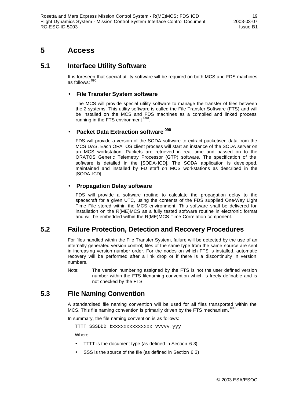## **5 Access**

## **5.1 Interface Utility Software**

It is foreseen that special utility software will be required on both MCS and FDS machines as follows: <sup>090</sup>

#### • **File Transfer System software**

The MCS will provide special utility software to manage the transfer of files between the 2 systems. This utility software is called the File Transfer Software (FTS) and will be installed on the MCS and FDS machines as a compiled and linked process running in the FTS environment <sup>090</sup>.

#### • **Packet Data Extraction software <sup>090</sup>**

FDS will provide a version of the SODA software to extract packetised data from the MCS DAS. Each ORATOS client process will start an instance of the SODA server on an MCS workstation. Packets are retrieved in real time and passed on to the ORATOS Generic Telemetry Processor (GTP) software. The specification of the software is detailed in the [SODA-ICD]. The SODA application is developed, maintained and installed by FD staff on MCS workstations as described in the [SODA-ICD]

#### • **Propagation Delay software**

FDS will provide a software routine to calculate the propagation delay to the spacecraft for a given UTC, using the contents of the FDS supplied One-Way Light Time File stored within the MCS environment. This software shall be delivered for installation on the R(ME)MCS as a fully tested software routine in electronic format and will be embedded within the R(ME)MCS Time Correlation component.

## **5.2 Failure Protection, Detection and Recovery Procedures**

For files handled within the File Transfer System, failure will be detected by the use of an internally generated version control; files of the same type from the same source are sent in increasing version number order. For the nodes on which FTS is installed, automatic recovery will be performed after a link drop or if there is a discontinuity in version numbers.

Note: The version numbering assigned by the FTS is not the user defined version number within the FTS filenaming convention which is freely definable and is not checked by the FTS.

## **5.3 File Naming Convention**

A standardised file naming convention will be used for all files transported within the MCS. This file naming convention is primarily driven by the FTS mechanism. <sup>090</sup>

In summary, the file naming convention is as follows:

```
TTTT_SSSDDD_txxxxxxxxxxxxxx_vvvvv.yyy
```
Where:

- TTTT is the document type (as defined in Section 6.3)
- SSS is the source of the file (as defined in Section 6.3)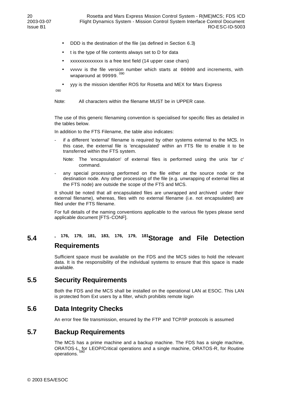- DDD is the destination of the file (as defined in Section 6.3)
- t is the type of file contents always set to D for data
- xxxxxxxxxxxxxx is a free text field (14 upper case chars)
- vvvvv is the file version number which starts at 00000 and increments, with wraparound at 99999. <sup>090</sup>
- yyy is the mission identifier ROS for Rosetta and MEX for Mars Express

090

Note: All characters within the filename MUST be in UPPER case.

The use of this generic filenaming convention is specialised for specific files as detailed in the tables below.

In addition to the FTS Filename, the table also indicates:

- if a different 'external' filename is required by other systems external to the MCS. In this case, the external file is 'encapsulated' within an FTS file to enable it to be transferred within the FTS system.
	- Note: The 'encapsulation' of external files is performed using the unix '*tar c*' command.
- any special processing performed on the file either at the source node or the destination node. Any other processing of the file (e.g. unwrapping of external files at the FTS node) are outside the scope of the FTS and MCS.

It should be noted that all encapsulated files are unwrapped and archived under their external filename), whereas, files with no external filename (i.e. not encapsulated) are filed under the FTS filename.

For full details of the naming conventions applicable to the various file types please send applicable document [FTS-CONF].

# **5.4 , 176, 179, 181, 183, 176, 179, 181Storage and File Detection Requirements**

Sufficient space must be available on the FDS and the MCS sides to hold the relevant data. It is the responsibility of the individual systems to ensure that this space is made available.

## **5.5 Security Requirements**

Both the FDS and the MCS shall be installed on the operational LAN at ESOC. This LAN is protected from Ext users by a filter, which prohibits remote login

## **5.6 Data Integrity Checks**

An error free file transmission, ensured by the FTP and TCP/IP protocols is assumed

## **5.7 Backup Requirements**

The MCS has a prime machine and a backup machine. The FDS has a single machine, ORATOS-L, for LEOP/Critical operations and a single machine, ORATOS-R, for Routine operations.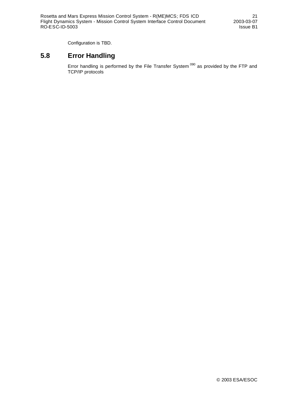Configuration is TBD.

## **5.8 Error Handling**

Error handling is performed by the File Transfer System<sup>090</sup> as provided by the FTP and TCP/IP protocols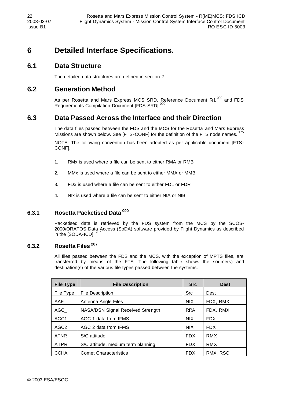# **6 Detailed Interface Specifications.**

## **6.1 Data Structure**

The detailed data structures are defined in section 7.

## **6.2 Generation Method**

As per Rosetta and Mars Express MCS SRD, Reference Document R1<sup>090</sup> and FDS Requirements Compilation Document [FDS-SRD]<sup>090</sup>

## **6.3 Data Passed Across the Interface and their Direction**

The data files passed between the FDS and the MCS for the Rosetta and Mars Express Missions are shown below. See [FTS-CONF] for the definition of the FTS node names.<sup>175</sup>

NOTE: The following convention has been adopted as per applicable document [FTS-CONF].

- 1. RMx is used where a file can be sent to either RMA or RMB
- 2. MMx is used where a file can be sent to either MMA or MMB
- 3. FDx is used where a file can be sent to either FDL or FDR
- 4. NIx is used where a file can be sent to either NIA or NIB

#### **6.3.1 Rosetta Packetised Data <sup>090</sup>**

Packetised data is retrieved by the FDS system from the MCS by the SCOS-2000/ORATOS Data Access (SoDA) software provided by Flight Dynamics as described<br>in the ISODA-ICDL<sup>207</sup> in the  $[SODA-ICD]$ .

#### **6.3.2 Rosetta Files<sup>207</sup>**

All files passed between the FDS and the MCS, with the exception of MPTS files, are transferred by means of the FTS. The following table shows the source(s) and destination(s) of the various file types passed between the systems.

| <b>File Type</b> | <b>File Description</b>                  |            | <b>Dest</b> |
|------------------|------------------------------------------|------------|-------------|
| File Type        | <b>File Description</b>                  | <b>Src</b> | Dest        |
| AAF              | Antenna Angle Files                      | <b>NIX</b> | FDX, RMX    |
| $AGC_$           | <b>NASA/DSN Signal Received Strength</b> | <b>RRA</b> | FDX, RMX    |
| AGC <sub>1</sub> | AGC 1 data from IFMS                     | <b>NIX</b> | <b>FDX</b>  |
| AGC <sub>2</sub> | AGC 2 data from IFMS                     | <b>NIX</b> | <b>FDX</b>  |
| <b>ATNR</b>      | S/C attitude                             | <b>FDX</b> | <b>RMX</b>  |
| <b>ATPR</b>      | S/C attitude, medium term planning       | <b>FDX</b> | RMX         |
| <b>CCHA</b>      | <b>Comet Characteristics</b>             | <b>FDX</b> | RMX, RSO    |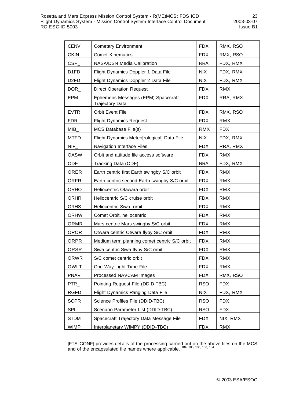| <b>CENV</b>       | <b>Cometary Environment</b>                                       | <b>FDX</b> | RMX, RSO   |
|-------------------|-------------------------------------------------------------------|------------|------------|
| <b>CKIN</b>       | <b>Comet Kinematics</b>                                           | <b>FDX</b> | RMX, RSO   |
| <b>CSP</b>        | NASA/DSN Media Calibration                                        | <b>RRA</b> | FDX, RMX   |
| D <sub>1</sub> FD | Flight Dynamics Doppler 1 Data File                               | <b>NIX</b> | FDX, RMX   |
| D <sub>2FD</sub>  | Flight Dynamics Doppler 2 Data File                               | <b>NIX</b> | FDX, RMX   |
| DOR               | <b>Direct Operation Request</b>                                   | <b>FDX</b> | <b>RMX</b> |
| EPM               | Ephemeris Messages (EPM) Spacecraft<br><b>Trajectory Data</b>     | <b>FDX</b> | RRA, RMX   |
| <b>EVTR</b>       | <b>Orbit Event File</b>                                           | <b>FDX</b> | RMX, RSO   |
| <b>FDR</b>        | <b>Flight Dynamics Request</b>                                    | <b>FDX</b> | <b>RMX</b> |
| <b>MIB</b>        | MCS Database File(s)                                              | <b>RMX</b> | <b>FDX</b> |
| <b>MTFD</b>       | Flight Dynamics Meteo[rological] Data File                        | <b>NIX</b> | FDX, RMX   |
| <b>NIF</b>        | Navigation Interface Files                                        | <b>FDX</b> | RRA, RMX   |
| <b>OASW</b>       | Orbit and attitude file access software                           | <b>FDX</b> | <b>RMX</b> |
| ODF               | Tracking Data (ODF)                                               | <b>RRA</b> | FDX, RMX   |
| ORER              | Earth centric first Earth swingby S/C orbit                       | <b>FDX</b> | <b>RMX</b> |
| <b>ORFR</b>       | Earth centric second Earth swingby S/C orbit                      | <b>FDX</b> | <b>RMX</b> |
| <b>ORHO</b>       | Heliocentric Otawara orbit                                        | <b>FDX</b> | <b>RMX</b> |
| <b>ORHR</b>       | Heliocentric S/C cruise orbit                                     | <b>FDX</b> | RMX        |
| <b>ORHS</b>       | Heliocentric Siwa orbit                                           | <b>FDX</b> | <b>RMX</b> |
| <b>ORHW</b>       | Comet Orbit, heliocentric                                         | <b>FDX</b> | <b>RMX</b> |
| <b>ORMR</b>       | Mars centric Mars swingby S/C orbit                               | <b>FDX</b> | <b>RMX</b> |
| <b>OROR</b>       | Otwara centric Otwara flyby S/C orbit                             | <b>FDX</b> | RMX        |
| ORPR              | Medium term planning comet centric S/C orbit                      | <b>FDX</b> | <b>RMX</b> |
| <b>ORSR</b>       | Siwa centric Siwa flyby S/C orbit                                 | <b>FDX</b> | <b>RMX</b> |
| <b>ORWR</b>       | S/C comet centric orbit                                           | <b>FDX</b> | <b>RMX</b> |
| <b>OWLT</b>       | One-Way Light Time File                                           | <b>FDX</b> | <b>RMX</b> |
| <b>PNAV</b>       | Processed NAVCAM Images                                           | <b>FDX</b> | RMX, RSO   |
| PTR               | Pointing Request File (DDID-TBC)                                  | <b>RSO</b> | <b>FDX</b> |
| <b>RGFD</b>       | Flight Dynamics Ranging Data File<br><b>NIX</b>                   |            | FDX, RMX   |
| <b>SCPR</b>       | Science Profiles File (DDID-TBC)<br><b>RSO</b><br><b>FDX</b>      |            |            |
| SPL               | Scenario Parameter List (DDID-TBC)                                | <b>RSO</b> | <b>FDX</b> |
| <b>STDM</b>       | Spacecraft Trajectory Data Message File<br><b>FDX</b><br>NIX, RMX |            |            |
| <b>WIMP</b>       | <b>FDX</b><br>Interplanetary WIMPY (DDID-TBC)<br><b>RMX</b>       |            |            |

[FTS-CONF] provides details of the processing carried out on the above files on the MCS and of the encapsulated file names where applicable. <sup>184, 185, 186, 187, 194</sup>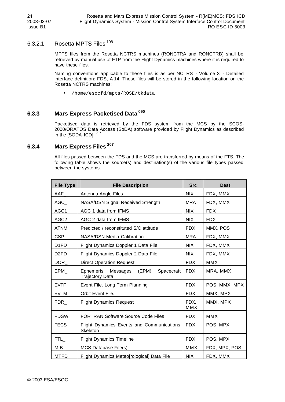### 6.3.2.1 Rosetta MPTS Files<sup>198</sup>

MPTS files from the Rosetta NCTRS machines (RONCTRA and RONCTRB) shall be retrieved by manual use of FTP from the Flight Dynamics machines where it is required to have these files.

Naming conventions applicable to these files is as per NCTRS - Volume 3 - Detailed interface definition: FDS, A-14. These files will be stored in the following location on the Rosetta NCTRS machines;

• /home/esocfd/mpts/ROSE/tkdata

#### **6.3.3 Mars Express Packetised Data <sup>090</sup>**

Packetised data is retrieved by the FDS system from the MCS by the SCOS-2000/ORATOS Data Access (SoDA) software provided by Flight Dynamics as described in the [SODA-ICD].<sup>207</sup>

#### **6.3.4 Mars Express Files<sup>207</sup>**

All files passed between the FDS and the MCS are transferred by means of the FTS. The following table shows the source(s) and destination(s) of the various file types passed between the systems.

| <b>File Type</b>  | <b>File Description</b>                                                | <b>Src</b>         | <b>Dest</b>   |
|-------------------|------------------------------------------------------------------------|--------------------|---------------|
| <b>AAF</b>        | Antenna Angle Files                                                    | <b>NIX</b>         | FDX, MMX      |
| AGC               | NASA/DSN Signal Received Strength                                      | <b>MRA</b>         | FDX, MMX      |
| AGC1              | AGC 1 data from IFMS                                                   | <b>NIX</b>         | <b>FDX</b>    |
| AGC <sub>2</sub>  | AGC 2 data from IFMS                                                   | <b>NIX</b>         | <b>FDX</b>    |
| <b>ATNM</b>       | Predicted / reconstituted S/C attitude                                 | <b>FDX</b>         | MMX, POS      |
| <b>CSP</b>        | <b>NASA/DSN Media Calibration</b>                                      | <b>MRA</b>         | FDX, MMX      |
| D <sub>1</sub> FD | Flight Dynamics Doppler 1 Data File                                    | <b>NIX</b>         | FDX, MMX      |
| D <sub>2</sub> FD | Flight Dynamics Doppler 2 Data File                                    | <b>NIX</b>         | FDX, MMX      |
| DOR               | <b>Direct Operation Request</b>                                        | <b>FDX</b>         | <b>MMX</b>    |
| EPM               | Ephemeris<br>Messages<br>(EPM)<br>Spacecraft<br><b>Trajectory Data</b> | <b>FDX</b>         | MRA, MMX      |
| <b>EVTF</b>       | Event File. Long Term Planning                                         | <b>FDX</b>         | POS, MMX, MPX |
| <b>EVTM</b>       | Orbit Event File.                                                      | <b>FDX</b>         | MMX, MPX      |
| FDR <sub>-</sub>  | <b>Flight Dynamics Request</b>                                         | FDX.<br><b>MMX</b> | MMX, MPX      |
| <b>FDSW</b>       | <b>FORTRAN Software Source Code Files</b>                              | <b>FDX</b>         | <b>MMX</b>    |
| <b>FECS</b>       | <b>Flight Dynamics Events and Communications</b><br>Skeleton           | <b>FDX</b>         | POS, MPX      |
| FTL <sub>.</sub>  | <b>Flight Dynamics Timeline</b>                                        | <b>FDX</b>         | POS, MPX      |
| <b>MIB</b>        | MCS Database File(s)                                                   |                    | FDX, MPX, POS |
| <b>MTFD</b>       | Flight Dynamics Meteo[rological] Data File                             | <b>NIX</b>         | FDX, MMX      |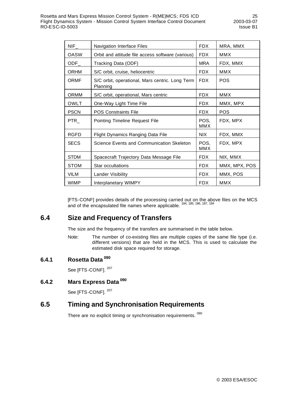| NIF              | Navigation Interface Files                                  |                    | MRA, MMX      |
|------------------|-------------------------------------------------------------|--------------------|---------------|
| OASW             | Orbit and attitude file access software (various)           | <b>FDX</b>         | MMX           |
| $ODF_$           | Tracking Data (ODF)                                         | <b>MRA</b>         | FDX, MMX      |
| <b>ORHM</b>      | S/C orbit, cruise, heliocentric                             | <b>FDX</b>         | <b>MMX</b>    |
| <b>ORMF</b>      | S/C orbit, operational, Mars centric. Long Term<br>Planning | <b>FDX</b>         | <b>POS</b>    |
| <b>ORMM</b>      | S/C orbit, operational, Mars centric                        | <b>FDX</b>         | MMX           |
| OWLT             | One-Way Light Time File                                     | <b>FDX</b>         | MMX, MPX      |
| <b>PSCN</b>      | <b>POS Constraints File</b>                                 | <b>FDX</b>         | <b>POS</b>    |
| PTR <sub>L</sub> | <b>Pointing Timeline Request File</b>                       | POS.<br>MMX        | FDX, MPX      |
| <b>RGFD</b>      | Flight Dynamics Ranging Data File                           | NIX.               | FDX, MMX      |
| <b>SECS</b>      | Science Events and Communication Skeleton                   | POS,<br><b>MMX</b> | FDX, MPX      |
| <b>STDM</b>      | Spacecraft Trajectory Data Message File                     | <b>FDX</b>         | NIX, MMX      |
| <b>STOM</b>      | Star occultations                                           | <b>FDX</b>         | MMX, MPX, POS |
| VILM             | <b>Lander Visibility</b>                                    |                    | MMX, POS      |
| <b>WIMP</b>      | Interplanetary WIMPY                                        | <b>FDX</b>         | <b>MMX</b>    |

[FTS-CONF] provides details of the processing carried out on the above files on the MCS and of the encapsulated file names where applicable. <sup>184, 185, 186, 187, 194</sup>

## **6.4 Size and Frequency of Transfers**

The size and the frequency of the transfers are summarised in the table below.

Note: The number of co-existing files are multiple copies of the same file type (i.e. different versions) that are held in the MCS. This is used to calculate the estimated disk space required for storage.

#### **6.4.1 Rosetta Data <sup>090</sup>**

See [FTS-CONF].<sup>207</sup>

# **6.4.2 Mars Express Data <sup>090</sup>**

See [FTS-CONF].<sup>207</sup>

## **6.5 Timing and Synchronisation Requirements**

There are no explicit timing or synchronisation requirements. 090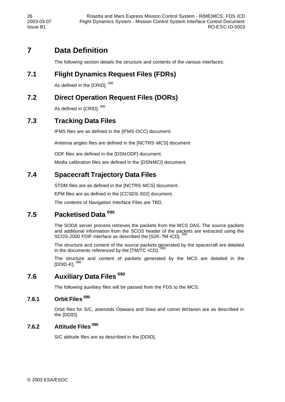# **7 Data Definition**

The following section details the structure and contents of the various interfaces:

## **7.1 Flight Dynamics Request Files (FDRs)**

As defined in the [CRID]. 090

## **7.2 Direct Operation Request Files (DORs)**

As defined in [CRID]. 090

## **7.3 Tracking Data Files**

IFMS files are as defined in the [IFMS-OCC] document.

Antenna angles files are defined in the [NCTRS-MCS] document

ODF files are defined in the [DSN-ODF] document.

Media calibration files are defined in the [DSN-MCI] document.

## **7.4 Spacecraft Trajectory Data Files**

STDM files are as defined in the [NCTRS-MCS] document.

EPM files are as defined in the [CCSDS-502] document.

The contents of Navigation Interface Files are TBD.

## **7.5 Packetised Data <sup>090</sup>**

The SODA server process retrieves the packets from the MCS DAS. The source packets and additional information from the SCOS header of the packets are extracted using the SCOS-2000 FDIF interface as described the [S2K-TM-ICD].

The structure and content of the source packets generated by the spacecraft are detailed in the documents referenced by the [TM/TC-ICD].

The structure and content of packets generated by the MCS are detailed in the  $[DDID-K]$ .  $^{090}$ 

# **7.6 Auxiliary Data Files <sup>090</sup>**

The following auxiliary files will be passed from the FDS to the MCS:

### **7.6.1 Orbit Files 090**

Orbit files for S/C, asteroids Otawara and Siwa and comet Wirtanen are as described in the [DDID].

#### **7.6.2 Attitude Files <sup>090</sup>**

S/C attitude files are as described in the [DDID].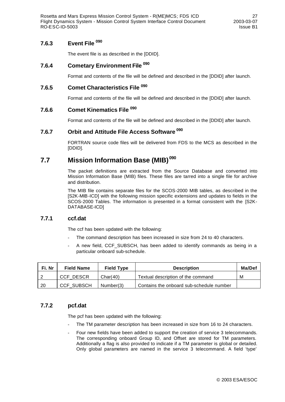Rosetta and Mars Express Mission Control System - R(ME)MCS; FDS ICD 27 Flight Dynamics System - Mission Control System Interface Control Document 2003-03-07 RO-ESC-ID-5003 Issue B1

#### **7.6.3 Event File <sup>090</sup>**

The event file is as described in the [DDID].

### **7.6.4 Cometary Environment File <sup>090</sup>**

Format and contents of the file will be defined and described in the [DDID] after launch.

## **7.6.5 Comet Characteristics File <sup>090</sup>**

Format and contents of the file will be defined and described in the [DDID] after launch.

#### **7.6.6 Comet Kinematics File <sup>090</sup>**

Format and contents of the file will be defined and described in the [DDID] after launch.

#### **7.6.7 Orbit and Attitude File Access Software <sup>090</sup>**

FORTRAN source code files will be delivered from FDS to the MCS as described in the [DDID].

# **7.7 Mission Information Base (MIB) <sup>090</sup>**

The packet definitions are extracted from the Source Database and converted into Mission Information Base (MIB) files. These files are tarred into a single file for archive and distribution.

The MIB file contains separate files for the SCOS-2000 MIB tables, as described in the [S2K-MIB-ICD] with the following mission specific extensions and updates to fields in the SCOS-2000 Tables. The information is presented in a format consistent with the [S2K-DATABASE-ICD]

#### **7.7.1 ccf.dat**

The ccf has been updated with the following:

- The command description has been increased in size from 24 to 40 characters.
- A new field, CCF\_SUBSCH, has been added to identify commands as being in a particular onboard sub-schedule.

| Fi. Nr | <b>Field Name</b> | <b>Field Type</b> | <b>Description</b>                       | Ma/Def |
|--------|-------------------|-------------------|------------------------------------------|--------|
|        | CCF DESCR         | Char(40)          | Textual description of the command       | M      |
| -20    | <b>CCF SUBSCH</b> | Number(3)         | Contains the onboard sub-schedule number |        |

#### **7.7.2 pcf.dat**

The pcf has been updated with the following:

- The TM parameter description has been increased in size from 16 to 24 characters.
- Four new fields have been added to support the creation of service 3 telecommands. The corresponding onboard Group ID, and Offset are stored for TM parameters. Additionally a flag is also provided to indicate if a TM parameter is global or detailed. Only global parameters are named in the service 3 telecommand. A field 'type'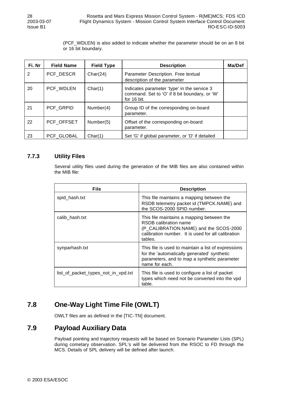(PCF\_WDLEN) is also added to indicate whether the parameter should be on an 8 bit or 16 bit boundary.

| Fi. Nr | <b>Field Name</b> | <b>Field Type</b> | <b>Description</b>                                                                                          | Ma/Def |
|--------|-------------------|-------------------|-------------------------------------------------------------------------------------------------------------|--------|
| 2      | PCF DESCR         | Char(24)          | Parameter Description. Free textual<br>description of the parameter                                         |        |
| 20     | PCF WDLEN         | Char(1)           | Indicates parameter 'type' in the service 3<br>command. Set to 'O' if 8 bit boundary, or 'W'<br>for 16 bit. |        |
| 21     | PCF GRPID         | Number(4)         | Group ID of the corresponding on-board<br>parameter.                                                        |        |
| 22     | PCF OFFSET        | Number(5)         | Offset of the corresponding on-board<br>parameter.                                                          |        |
| 23     | PCF GLOBAL        | Char(1)           | Set 'G' if global parameter, or 'D' if detailed                                                             |        |

#### **7.7.3 Utility Files**

Several utility files used during the generation of the MIB files are also contained within the MIB file:

| <b>File</b>                         | <b>Description</b>                                                                                                                                                            |
|-------------------------------------|-------------------------------------------------------------------------------------------------------------------------------------------------------------------------------|
| spid_hash.txt                       | This file maintains a mapping between the<br>RSDB telemetry packet id (TMPCK.NAME) and<br>the SCOS-2000 SPID number.                                                          |
| calib_hash.txt                      | This file maintains a mapping between the<br>RSDB calibration name<br>(P_CALIBRATION.NAME) and the SCOS-2000<br>calibration number. It is used for all calibration<br>tables. |
| synparhash.txt                      | This file is used to maintain a list of expressions<br>for the 'automatically generated' synthetic<br>parameters, and to map a synthetic parameter<br>name for each.          |
| list_of_packet_types_not_in_vpd.txt | This file is used to configure a list of packet<br>types which need not be converted into the vpd<br>table.                                                                   |

## **7.8 One-Way Light Time File (OWLT)**

OWLT files are as defined in the [TIC-TN] document.

## **7.9 Payload Auxiliary Data**

Payload pointing and trajectory requests will be based on Scenario Parameter Lists (SPL) during cometary observation. SPL's will be delivered from the RSOC to FD through the MCS. Details of SPL delivery will be defined after launch.